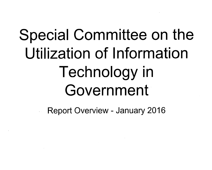# **Special Committee on the Utilization of Information Technology in Government**

**Report Overview - January 2016**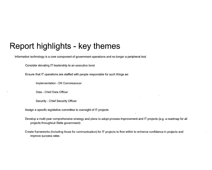Information technology is a core component of government operations and no longer a peripheral tool

Consider elevating IT leadership to an executive level

Ensure that IT operations are staffed with people responsible for such things as:

Implementation - DII Commissioner

Data - Chief Data Officer

Security - Chief Security Officer

Assign a specific legislative committee to oversight of IT projects

Develop a multi-year comprehensive strategy and plans to adopt process improvement and IT projects (e.g. a roadmap for all projects throughout State government)

Create frameworks (including those for communication) for IT projects to flow within to enhance confidence in projects and improve success rates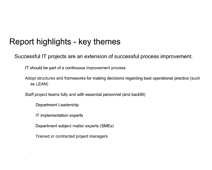**Successful IT projects are an extension of successful process improvement.** 

IT should be part of a continuous improvement process

Adopt structures and frameworks for making decisions regarding best operational practice (such as LEAN)

Staff project teams fully and with essential personnel (and backfill)

Department Leadership

IT implementation experts

Department subject matter experts (SMEs)

Trained or contracted project managers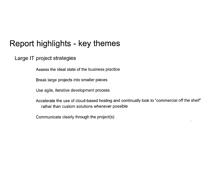#### Large IT project strategies

Assess the ideal state of the business practice

Break large projects into smaller pieces

Use agile, iterative development process

Accelerate the use of cloud-based hosting and continually look to "commercial off the shelf" rather than custom solutions whenever possible

Communicate clearly through the project(s)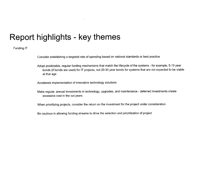#### Funding IT

Consider establishing a targeted rate of spending based on national standards or best practice

Adopt predictable, regular funding mechanisms that match the lifecycle of the systems - for example, 5-10 year bonds (if bonds are used) for IT projects, not 20-30 year bonds for systems that are not expected to be viable at that age

Accelerate implementation of innovative technology solutions

Make regular, annual investments in technology, upgrades, and maintenance - deferred investments create excessive cost in the out years

When prioritizing projects, consider the return on the investment for the project under consideration

Be cautious in allowing funding streams to drive the selection and prioritization of project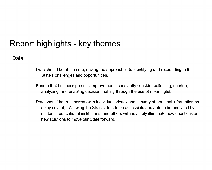#### **Data**

- Data should be at the core, driving the approaches to identifying and responding to the State's challenges and opportunities.
- Ensure that business process improvements constantly consider collecting, sharing, analyzing, and enabling decision making through the use of meaningful.
- Data should be transparent (with individual privacy and security of personal information as a key caveat). Allowing the State's data to be accessible and able to be analyzed by students, educational institutions, and others will inevitably illuminate new questions and new solutions to move our State forward.